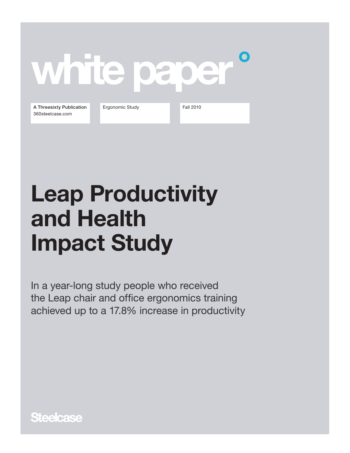## O white pape

A Threesixty Publication 360steelcase.com

Ergonomic Study Fall 2010

# Leap Productivity and Health Impact Study

In a year-long study people who received the Leap chair and office ergonomics training achieved up to a 17.8% increase in productivity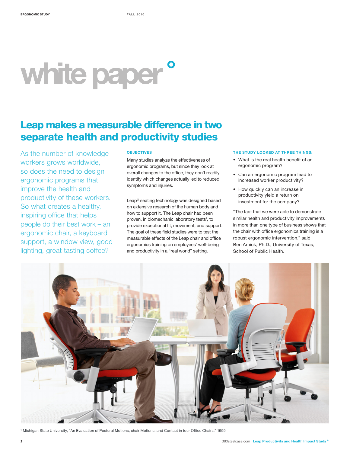# white paper<sup>°</sup>

## Leap makes a measurable difference in two separate health and productivity studies

As the number of knowledge workers grows worldwide, so does the need to design ergonomic programs that improve the health and productivity of these workers. So what creates a healthy, inspiring office that helps people do their best work – an ergonomic chair, a keyboard support, a window view, good lighting, great tasting coffee?

#### **OBJECTIVES**

Many studies analyze the effectiveness of ergonomic programs, but since they look at overall changes to the office, they don't readily identify which changes actually led to reduced symptoms and injuries.

Leap® seating technology was designed based on extensive research of the human body and how to support it. The Leap chair had been proven, in biomechanic laboratory tests<sup>1</sup>, to provide exceptional fit, movement, and support. The goal of these field studies were to test the measurable effects of the Leap chair and office ergonomics training on employees' well-being and productivity in a "real world" setting.

#### THE STUDY LOOKED AT THREE THINGS:

- What is the real health benefit of an ergonomic program?
- Can an ergonomic program lead to increased worker productivity?
- How quickly can an increase in productivity yield a return on investment for the company?

"The fact that we were able to demonstrate similar health and productivity improvements in more than one type of business shows that the chair with office ergonomics training is a robust ergonomic intervention." said Ben Amick, Ph.D., University of Texas, School of Public Health.



1 Michigan State University, "An Evaluation of Postural Motions, chair Motions, and Contact in four Office Chairs." 1999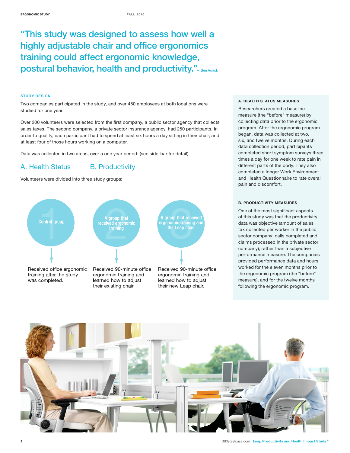## "This study was designed to assess how well a highly adjustable chair and office ergonomics training could affect ergonomic knowledge, postural behavior, health and productivity." - Ben Amick

#### STUDY DESIGN

Two companies participated in the study, and over 450 employees at both locations were studied for one year.

Over 200 volunteers were selected from the first company, a public sector agency that collects sales taxes. The second company, a private sector insurance agency, had 250 participants. In order to qualify, each participant had to spend at least six hours a day sitting in their chair, and at least four of those hours working on a computer.

Data was collected in two areas, over a one year period: (see side-bar for detail)

#### A. Health Status B. Productivity

Volunteers were divided into three study groups:



#### A. HEALTH STATUS MEASURES

Researchers created a baseline measure (the "before" measure) by collecting data prior to the ergonomic program. After the ergonomic program began, data was collected at two, six, and twelve months. During each data collection period, participants completed short symptom surveys three times a day for one week to rate pain in different parts of the body. They also completed a longer Work Environment and Health Questionnaire to rate overall pain and discomfort.

#### B. PRODUCTIVITY MEASURES

One of the most significant aspects of this study was that the productivity data was objective (amount of sales tax collected per worker in the public sector company; calls completed and claims processed in the private sector company), rather than a subjective performance measure. The companies provided performance data and hours worked for the eleven months prior to the ergonomic program (the "before" measure), and for the twelve months following the ergonomic program.

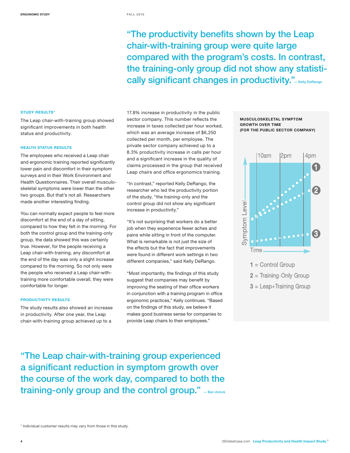"The productivity benefits shown by the Leap chair-with-training group were quite large compared with the program's costs. In contrast, the training-only group did not show any statistically significant changes in productivity." - Kelly DeRango

#### STUDY RESULTS\*

The Leap chair-with-training group showed significant improvements in both health status and productivity.

#### HEALTH STATUS RESULTS

The employees who received a Leap chair and ergonomic training reported significantly lower pain and discomfort in their symptom surveys and in their Work Environment and Health Questionnaires. Their overall musculoskeletal symptoms were lower than the other two groups. But that's not all. Researchers made another interesting finding.

You can normally expect people to feel more discomfort at the end of a day of sitting, compared to how they felt in the morning. For both the control group and the training-only group, the data showed this was certainly true. However, for the people receiving a Leap chair-with-training, any discomfort at the end of the day was only a slight increase compared to the morning. So not only were the people who received a Leap chair-withtraining more comfortable overall, they were comfortable for longer.

#### PRODUCTIVITY RESULTS

The study results also showed an increase in productivity. After one year, the Leap chair-with-training group achieved up to a

17.8% increase in productivity in the public sector company. This number reflects the increase in taxes collected per hour worked, which was an average increase of \$6,250 collected per month, per employee. The private sector company achieved up to a 8.3% productivity increase in calls per hour and a significant increase in the quality of claims processed in the group that received Leap chairs and office ergonomics training.

"In contrast," reported Kelly DeRango, the researcher who led the productivity portion of the study, "the training-only and the control group did not show any significant increase in productivity."

"It's not surprising that workers do a better job when they experience fewer aches and pains while sitting in front of the computer. What is remarkable is not just the size of the effects but the fact that improvements were found in different work settings in two different companies," said Kelly DeRango.

"Most importantly, the findings of this study suggest that companies may benefit by improving the seating of their office workers in conjunction with a training program in office ergonomic practices," Kelly continues. "Based on the findings of this study, we believe it makes good business sense for companies to provide Leap chairs to their employees."

MUSCULOSKELETAL SYMPTOM GROWTH OVER TIME (FOR THE PUBLIC SECTOR COMPANY)





"The Leap chair-with-training group experienced a significant reduction in symptom growth over the course of the work day, compared to both the training-only group and the control group." - Ben Amick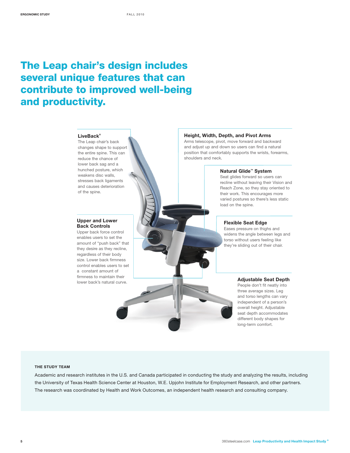## The Leap chair's design includes several unique features that can contribute to improved well-being and productivity.

#### **LiveBack ®**

The Leap chair's back changes shape to support the entire spine. This can reduce the chance of lower back sag and a hunched posture, which weakens disc walls, stresses back ligaments and causes deterioration of the spine.

#### **Upper and Lower Back Controls**

Upper back force control enables users to set the amount of "push back" that they desire as they recline, regardless of their body size. Lower back firmness control enables users to set a constant amount of firmness to maintain their lower back's natural curve.

#### **Height, Width, Depth, and Pivot Arms**

Arms telescope, pivot, move forward and backward and adjust up and down so users can find a natural position that comfortably supports the wrists, forearms, shoulders and neck.

#### **Natural Glide™ System**

Seat glides forward so users can recline without leaving their Vision and Reach Zone, so they stay oriented to their work. This encourages more varied postures so there's less static load on the spine.

#### **Flexible Seat Edge**

Eases pressure on thighs and widens the angle between legs and torso without users feeling like they're sliding out of their chair.

#### **Adjustable Seat Depth**

People don't fit neatly into three average sizes. Leg and torso lengths can vary independent of a person's overall height. Adjustable seat depth accommodates different body shapes for long-term comfort.

#### THE STUDY TEAM

Academic and research institutes in the U.S. and Canada participated in conducting the study and analyzing the results, including the University of Texas Health Science Center at Houston, W.E. Upjohn Institute for Employment Research, and other partners. The research was coordinated by Health and Work Outcomes, an independent health research and consulting company.